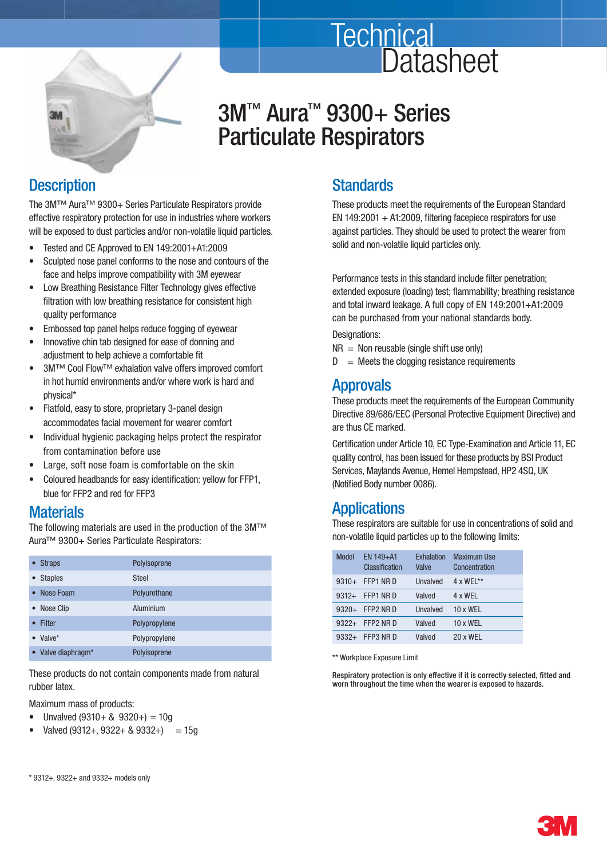

# 3M<sup>™</sup> Aura<sup>™</sup> 9300+ Series Particulate Respirators

### **Description**

 The 3M™ Aura™ 9300+ Series Particulate Respirators provide effective respiratory protection for use in industries where workers will be exposed to dust particles and/or non-volatile liquid particles.

- Tested and CE Approved to EN 149:2001+A1:2009
- Sculpted nose panel conforms to the nose and contours of the face and helps improve compatibility with 3M eyewear
- Low Breathing Resistance Filter Technology gives effective filtration with low breathing resistance for consistent high quality performance
- Embossed top panel helps reduce fogging of eyewear
- Innovative chin tab designed for ease of donning and adjustment to help achieve a comfortable fit
- 3M™ Cool Flow™ exhalation valve offers improved comfort in hot humid environments and/or where work is hard and physical\*
- Flatfold, easy to store, proprietary 3-panel design accommodates facial movement for wearer comfort
- Individual hygienic packaging helps protect the respirator from contamination before use
- Large, soft nose foam is comfortable on the skin
- Coloured headbands for easy identification: yellow for FFP1, blue for FFP2 and red for FFP3

#### **Materials**

 The following materials are used in the production of the 3M™ Aura<sup>™</sup> 9300+ Series Particulate Respirators:

| <b>Straps</b>      | Polyisoprene  |
|--------------------|---------------|
| <b>Staples</b>     | <b>Steel</b>  |
| Nose Foam          | Polyurethane  |
| • Nose Clip        | Aluminium     |
| Filter             | Polypropylene |
| Valve*             | Polypropylene |
| • Valve diaphragm* | Polyisoprene  |

 These products do not contain components made from natural rubber latex.

Maximum mass of products:

- Unvalved  $(9310 + 8 \cdot 9320+) = 10g$
- Valved (9312+, 9322+ & 9332+) = 15g

### **Standards**

**Technical** 

 These products meet the requirements of the European Standard EN 149:2001  $+$  A1:2009, filtering facepiece respirators for use against particles. They should be used to protect the wearer from solid and non-volatile liquid particles only.

**Datasheet** 

Performance tests in this standard include filter penetration; extended exposure (loading) test; flammability; breathing resistance and total inward leakage. A full copy of EN 149:2001+A1:2009 can be purchased from your national standards body.

Designations:

- $NR = Non reusable (single shift use only)$
- $D =$  Meets the clogging resistance requirements

#### **Approvals**

 These products meet the requirements of the European Community Directive 89/686/EEC (Personal Protective Equipment Directive) and are thus CE marked.

Certification under Article 10, EC Type-Examination and Article 11, EC quality control, has been issued for these products by BSI Product Services, Maylands Avenue, Hemel Hempstead, HP2 4SQ, UK (Notified Body number 0086).

### Applications

 These respirators are suitable for use in concentrations of solid and non-volatile liquid particles up to the following limits:

| Model   | $EN$ 149+A1<br>Classification | Exhalation<br>Valve | <b>Maximum Use</b><br>Concentration |
|---------|-------------------------------|---------------------|-------------------------------------|
| $9310+$ | FFP1 NR D                     | Unvalved            | $4 \times WEL***$                   |
| $9312+$ | FFP1 NR D                     | Valved              | 4 x WFI                             |
| $9320+$ | FFP2 NR D                     | Unvalved            | $10 \times WFI$                     |
| $9322+$ | FFP2 NR D                     | Valved              | 10 x WEL                            |
| $9332+$ | FFP3 NR D                     | Valved              | 20 x WFL                            |

\*\* Workplace Exposure Limit

Respiratory protection is only effective if it is correctly selected, fitted and worn throughout the time when the wearer is exposed to hazards.